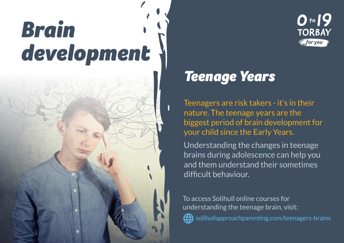## *Brain development*



## *Teenage Years*

Teenagers are risk takers - it's in their nature. The teenage years are the biggest period of brain development for your child since the Early Years.

 $0.19$ 

**TORBAY** for you

Understanding the changes in teenage brains during adolescence can help you and them understand their sometimes difficult behaviour.

To access Solihull online courses for understanding the teenage brain, visit:



Golihullapproachparenting.com/teenagers-brains